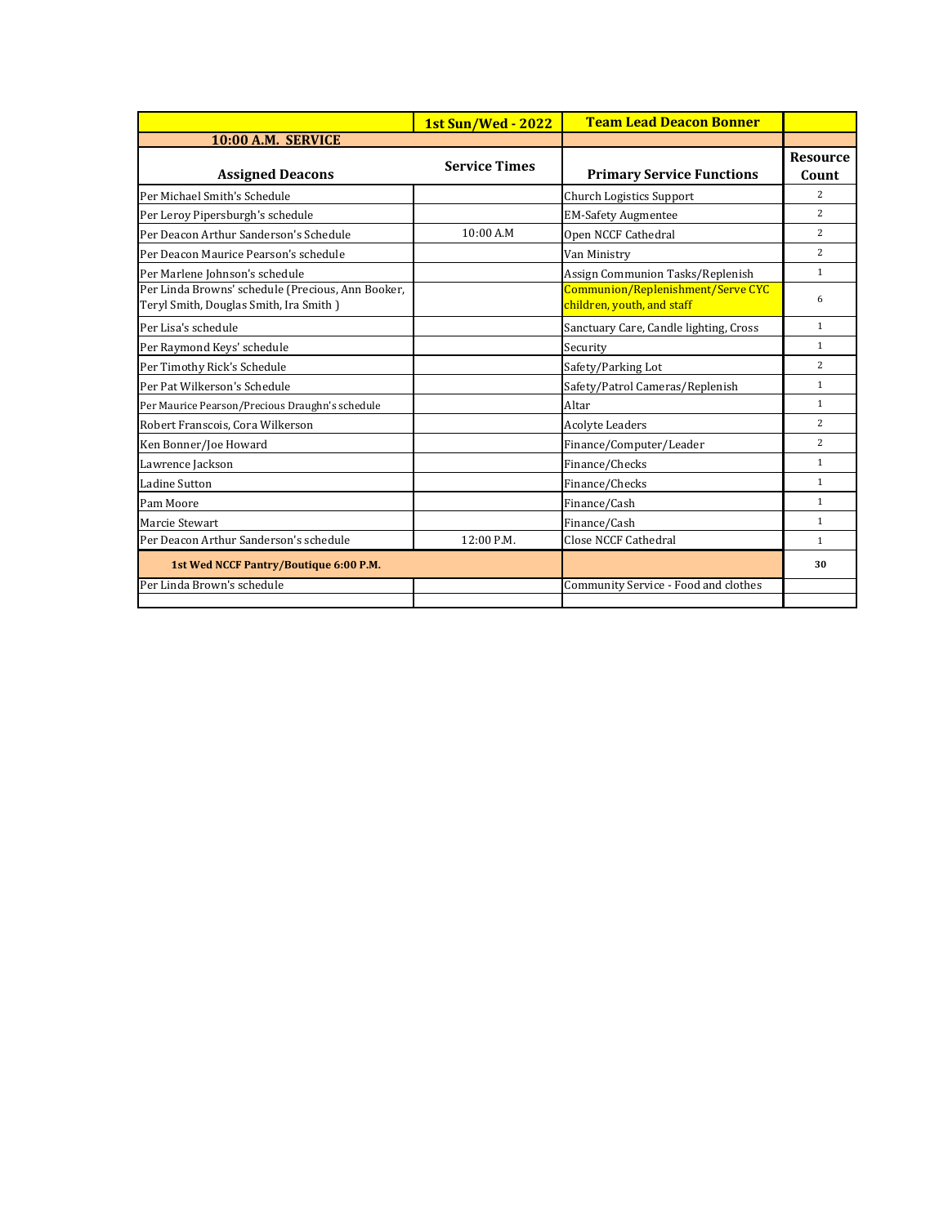|                                                                                             | <b>1st Sun/Wed - 2022</b> | <b>Team Lead Deacon Bonner</b>                                  |                          |
|---------------------------------------------------------------------------------------------|---------------------------|-----------------------------------------------------------------|--------------------------|
| 10:00 A.M. SERVICE                                                                          |                           |                                                                 |                          |
| <b>Assigned Deacons</b>                                                                     | <b>Service Times</b>      | <b>Primary Service Functions</b>                                | <b>Resource</b><br>Count |
| Per Michael Smith's Schedule                                                                |                           | Church Logistics Support                                        | $\overline{2}$           |
| Per Leroy Pipersburgh's schedule                                                            |                           | <b>EM-Safety Augmentee</b>                                      | $\overline{c}$           |
| Per Deacon Arthur Sanderson's Schedule                                                      | 10:00A.M                  | Open NCCF Cathedral                                             | $\overline{c}$           |
| Per Deacon Maurice Pearson's schedule                                                       |                           | Van Ministry                                                    | $\overline{2}$           |
| Per Marlene Johnson's schedule                                                              |                           | Assign Communion Tasks/Replenish                                | $\mathbf{1}$             |
| Per Linda Browns' schedule (Precious, Ann Booker,<br>Teryl Smith, Douglas Smith, Ira Smith) |                           | Communion/Replenishment/Serve CYC<br>children, youth, and staff | 6                        |
| Per Lisa's schedule                                                                         |                           | Sanctuary Care, Candle lighting, Cross                          | $\mathbf{1}$             |
| Per Raymond Keys' schedule                                                                  |                           | Security                                                        | $\mathbf{1}$             |
| Per Timothy Rick's Schedule                                                                 |                           | Safety/Parking Lot                                              | $\overline{c}$           |
| Per Pat Wilkerson's Schedule                                                                |                           | Safety/Patrol Cameras/Replenish                                 | $\mathbf{1}$             |
| Per Maurice Pearson/Precious Draughn's schedule                                             |                           | Altar                                                           | $\mathbf{1}$             |
| Robert Franscois, Cora Wilkerson                                                            |                           | <b>Acolyte Leaders</b>                                          | $\overline{c}$           |
| Ken Bonner/Joe Howard                                                                       |                           | Finance/Computer/Leader                                         | $\overline{c}$           |
| Lawrence Jackson                                                                            |                           | Finance/Checks                                                  | $\mathbf{1}$             |
| <b>Ladine Sutton</b>                                                                        |                           | Finance/Checks                                                  | $\mathbf{1}$             |
| Pam Moore                                                                                   |                           | Finance/Cash                                                    | $\mathbf{1}$             |
| Marcie Stewart                                                                              |                           | Finance/Cash                                                    | $\mathbf{1}$             |
| Per Deacon Arthur Sanderson's schedule                                                      | 12:00 P.M.                | <b>Close NCCF Cathedral</b>                                     | $\mathbf{1}$             |
| 1st Wed NCCF Pantry/Boutique 6:00 P.M.                                                      |                           |                                                                 | 30                       |
| Per Linda Brown's schedule                                                                  |                           | Community Service - Food and clothes                            |                          |
|                                                                                             |                           |                                                                 |                          |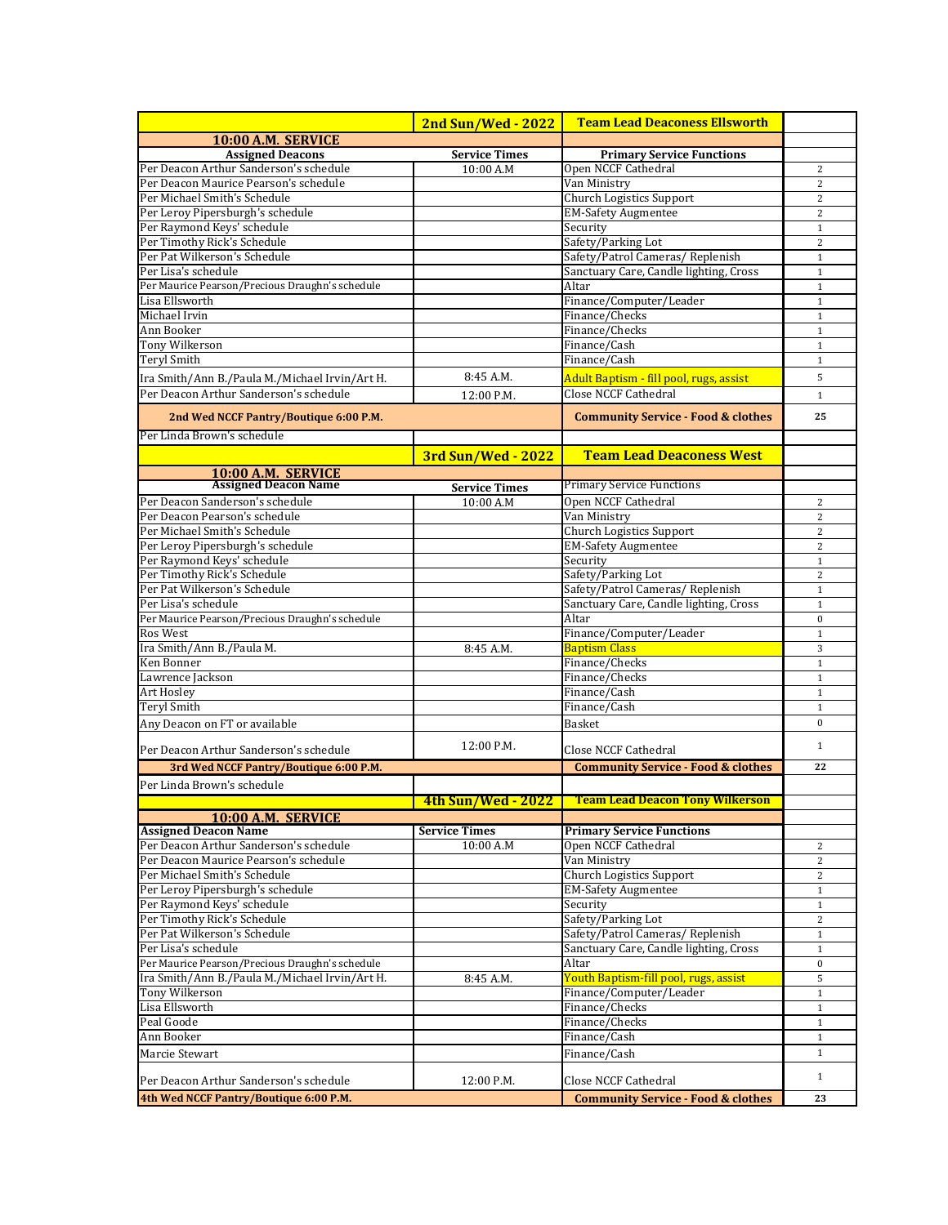| 10:00 A.M. SERVICE<br><b>Assigned Deacons</b><br><b>Service Times</b><br><b>Primary Service Functions</b><br>Per Deacon Arthur Sanderson's schedule<br>Open NCCF Cathedral<br>10:00A.M<br>Per Deacon Maurice Pearson's schedule<br>Van Ministry<br>Per Michael Smith's Schedule<br><b>Church Logistics Support</b><br>Per Leroy Pipersburgh's schedule<br><b>EM-Safety Augmentee</b><br>Per Raymond Keys' schedule<br>Security<br>Per Timothy Rick's Schedule<br>Safety/Parking Lot<br>Per Pat Wilkerson's Schedule<br>Safety/Patrol Cameras/ Replenish<br>Per Lisa's schedule<br>Sanctuary Care, Candle lighting, Cross<br>Per Maurice Pearson/Precious Draughn's schedule<br>Altar<br>Finance/Computer/Leader<br>Lisa Ellsworth<br>Michael Irvin<br>Finance/Checks<br>Finance/Checks<br>Ann Booker<br><b>Tony Wilkerson</b><br>Finance/Cash<br><b>Teryl Smith</b><br>Finance/Cash<br>8:45 A.M.<br>Adult Baptism - fill pool, rugs, assist<br>Ira Smith/Ann B./Paula M./Michael Irvin/Art H.<br><b>Close NCCF Cathedral</b><br>Per Deacon Arthur Sanderson's schedule<br>12:00 P.M.<br><b>Community Service - Food &amp; clothes</b><br>2nd Wed NCCF Pantry/Boutique 6:00 P.M.<br>Per Linda Brown's schedule<br><b>Team Lead Deaconess West</b><br><b>3rd Sun/Wed - 2022</b><br>10:00 A.M. SERVICE<br><b>Assigned Deacon Name</b><br><b>Primary Service Functions</b><br><b>Service Times</b><br>Per Deacon Sanderson's schedule<br>Open NCCF Cathedral<br>10:00 A.M<br>Per Deacon Pearson's schedule<br>Van Ministry<br>Per Michael Smith's Schedule<br><b>Church Logistics Support</b><br>Per Leroy Pipersburgh's schedule<br><b>EM-Safety Augmentee</b><br>Per Raymond Keys' schedule<br>Security<br>Per Timothy Rick's Schedule<br>Safety/Parking Lot<br>Per Pat Wilkerson's Schedule<br>Safety/Patrol Cameras/ Replenish<br>Per Lisa's schedule<br>Sanctuary Care, Candle lighting, Cross<br>Per Maurice Pearson/Precious Draughn's schedule<br>Altar<br>Ros West<br>Finance/Computer/Leader<br>Ira Smith/Ann B./Paula M.<br>Baptism Class<br>8:45 A.M.<br>Finance/Checks<br>Ken Bonner<br>Lawrence Jackson<br>Finance/Checks<br>Finance/Cash<br>Art Hosley<br>Teryl Smith<br>Finance/Cash<br>Any Deacon on FT or available<br>Basket<br>12:00 P.M.<br>Per Deacon Arthur Sanderson's schedule<br>Close NCCF Cathedral<br><b>Community Service - Food &amp; clothes</b><br>3rd Wed NCCF Pantry/Boutique 6:00 P.M.<br>Per Linda Brown's schedule<br>4th Sun/Wed - 2022 Team Lead Deacon Tony Wilkerson<br>10:00 A.M. SERVICE<br><b>Assigned Deacon Name</b><br><b>Primary Service Functions</b><br><b>Service Times</b><br>Per Deacon Arthur Sanderson's schedule<br>10:00 A.M<br>Open NCCF Cathedral<br>Per Deacon Maurice Pearson's schedule<br>Van Ministry<br>Per Michael Smith's Schedule<br><b>Church Logistics Support</b><br>Per Leroy Pipersburgh's schedule<br><b>EM-Safety Augmentee</b><br>Per Raymond Keys' schedule<br>Security<br>Per Timothy Rick's Schedule<br>Safety/Parking Lot<br>Per Pat Wilkerson's Schedule<br>Safety/Patrol Cameras/Replenish | <b>2nd Sun/Wed - 2022</b> | <b>Team Lead Deaconess Ellsworth</b> |                |
|---------------------------------------------------------------------------------------------------------------------------------------------------------------------------------------------------------------------------------------------------------------------------------------------------------------------------------------------------------------------------------------------------------------------------------------------------------------------------------------------------------------------------------------------------------------------------------------------------------------------------------------------------------------------------------------------------------------------------------------------------------------------------------------------------------------------------------------------------------------------------------------------------------------------------------------------------------------------------------------------------------------------------------------------------------------------------------------------------------------------------------------------------------------------------------------------------------------------------------------------------------------------------------------------------------------------------------------------------------------------------------------------------------------------------------------------------------------------------------------------------------------------------------------------------------------------------------------------------------------------------------------------------------------------------------------------------------------------------------------------------------------------------------------------------------------------------------------------------------------------------------------------------------------------------------------------------------------------------------------------------------------------------------------------------------------------------------------------------------------------------------------------------------------------------------------------------------------------------------------------------------------------------------------------------------------------------------------------------------------------------------------------------------------------------------------------------------------------------------------------------------------------------------------------------------------------------------------------------------------------------------------------------------------------------------------------------------------------------------------------------------------------------------------------------------------------------------------------------------------------------------------------------------------------------------------------------------------------------------------------------------------------------------------------------------------------------|---------------------------|--------------------------------------|----------------|
|                                                                                                                                                                                                                                                                                                                                                                                                                                                                                                                                                                                                                                                                                                                                                                                                                                                                                                                                                                                                                                                                                                                                                                                                                                                                                                                                                                                                                                                                                                                                                                                                                                                                                                                                                                                                                                                                                                                                                                                                                                                                                                                                                                                                                                                                                                                                                                                                                                                                                                                                                                                                                                                                                                                                                                                                                                                                                                                                                                                                                                                                           |                           |                                      |                |
|                                                                                                                                                                                                                                                                                                                                                                                                                                                                                                                                                                                                                                                                                                                                                                                                                                                                                                                                                                                                                                                                                                                                                                                                                                                                                                                                                                                                                                                                                                                                                                                                                                                                                                                                                                                                                                                                                                                                                                                                                                                                                                                                                                                                                                                                                                                                                                                                                                                                                                                                                                                                                                                                                                                                                                                                                                                                                                                                                                                                                                                                           |                           |                                      |                |
|                                                                                                                                                                                                                                                                                                                                                                                                                                                                                                                                                                                                                                                                                                                                                                                                                                                                                                                                                                                                                                                                                                                                                                                                                                                                                                                                                                                                                                                                                                                                                                                                                                                                                                                                                                                                                                                                                                                                                                                                                                                                                                                                                                                                                                                                                                                                                                                                                                                                                                                                                                                                                                                                                                                                                                                                                                                                                                                                                                                                                                                                           |                           |                                      | 2              |
|                                                                                                                                                                                                                                                                                                                                                                                                                                                                                                                                                                                                                                                                                                                                                                                                                                                                                                                                                                                                                                                                                                                                                                                                                                                                                                                                                                                                                                                                                                                                                                                                                                                                                                                                                                                                                                                                                                                                                                                                                                                                                                                                                                                                                                                                                                                                                                                                                                                                                                                                                                                                                                                                                                                                                                                                                                                                                                                                                                                                                                                                           |                           |                                      | $\overline{c}$ |
|                                                                                                                                                                                                                                                                                                                                                                                                                                                                                                                                                                                                                                                                                                                                                                                                                                                                                                                                                                                                                                                                                                                                                                                                                                                                                                                                                                                                                                                                                                                                                                                                                                                                                                                                                                                                                                                                                                                                                                                                                                                                                                                                                                                                                                                                                                                                                                                                                                                                                                                                                                                                                                                                                                                                                                                                                                                                                                                                                                                                                                                                           |                           |                                      | $\overline{c}$ |
|                                                                                                                                                                                                                                                                                                                                                                                                                                                                                                                                                                                                                                                                                                                                                                                                                                                                                                                                                                                                                                                                                                                                                                                                                                                                                                                                                                                                                                                                                                                                                                                                                                                                                                                                                                                                                                                                                                                                                                                                                                                                                                                                                                                                                                                                                                                                                                                                                                                                                                                                                                                                                                                                                                                                                                                                                                                                                                                                                                                                                                                                           |                           |                                      | $\overline{c}$ |
|                                                                                                                                                                                                                                                                                                                                                                                                                                                                                                                                                                                                                                                                                                                                                                                                                                                                                                                                                                                                                                                                                                                                                                                                                                                                                                                                                                                                                                                                                                                                                                                                                                                                                                                                                                                                                                                                                                                                                                                                                                                                                                                                                                                                                                                                                                                                                                                                                                                                                                                                                                                                                                                                                                                                                                                                                                                                                                                                                                                                                                                                           |                           |                                      | $\mathbf{1}$   |
|                                                                                                                                                                                                                                                                                                                                                                                                                                                                                                                                                                                                                                                                                                                                                                                                                                                                                                                                                                                                                                                                                                                                                                                                                                                                                                                                                                                                                                                                                                                                                                                                                                                                                                                                                                                                                                                                                                                                                                                                                                                                                                                                                                                                                                                                                                                                                                                                                                                                                                                                                                                                                                                                                                                                                                                                                                                                                                                                                                                                                                                                           |                           |                                      | $\overline{c}$ |
|                                                                                                                                                                                                                                                                                                                                                                                                                                                                                                                                                                                                                                                                                                                                                                                                                                                                                                                                                                                                                                                                                                                                                                                                                                                                                                                                                                                                                                                                                                                                                                                                                                                                                                                                                                                                                                                                                                                                                                                                                                                                                                                                                                                                                                                                                                                                                                                                                                                                                                                                                                                                                                                                                                                                                                                                                                                                                                                                                                                                                                                                           |                           |                                      | $\mathbf 1$    |
|                                                                                                                                                                                                                                                                                                                                                                                                                                                                                                                                                                                                                                                                                                                                                                                                                                                                                                                                                                                                                                                                                                                                                                                                                                                                                                                                                                                                                                                                                                                                                                                                                                                                                                                                                                                                                                                                                                                                                                                                                                                                                                                                                                                                                                                                                                                                                                                                                                                                                                                                                                                                                                                                                                                                                                                                                                                                                                                                                                                                                                                                           |                           |                                      | $\mathbf{1}$   |
|                                                                                                                                                                                                                                                                                                                                                                                                                                                                                                                                                                                                                                                                                                                                                                                                                                                                                                                                                                                                                                                                                                                                                                                                                                                                                                                                                                                                                                                                                                                                                                                                                                                                                                                                                                                                                                                                                                                                                                                                                                                                                                                                                                                                                                                                                                                                                                                                                                                                                                                                                                                                                                                                                                                                                                                                                                                                                                                                                                                                                                                                           |                           |                                      | $\mathbf{1}$   |
|                                                                                                                                                                                                                                                                                                                                                                                                                                                                                                                                                                                                                                                                                                                                                                                                                                                                                                                                                                                                                                                                                                                                                                                                                                                                                                                                                                                                                                                                                                                                                                                                                                                                                                                                                                                                                                                                                                                                                                                                                                                                                                                                                                                                                                                                                                                                                                                                                                                                                                                                                                                                                                                                                                                                                                                                                                                                                                                                                                                                                                                                           |                           |                                      | $\mathbf{1}$   |
|                                                                                                                                                                                                                                                                                                                                                                                                                                                                                                                                                                                                                                                                                                                                                                                                                                                                                                                                                                                                                                                                                                                                                                                                                                                                                                                                                                                                                                                                                                                                                                                                                                                                                                                                                                                                                                                                                                                                                                                                                                                                                                                                                                                                                                                                                                                                                                                                                                                                                                                                                                                                                                                                                                                                                                                                                                                                                                                                                                                                                                                                           |                           |                                      | $\mathbf{1}$   |
|                                                                                                                                                                                                                                                                                                                                                                                                                                                                                                                                                                                                                                                                                                                                                                                                                                                                                                                                                                                                                                                                                                                                                                                                                                                                                                                                                                                                                                                                                                                                                                                                                                                                                                                                                                                                                                                                                                                                                                                                                                                                                                                                                                                                                                                                                                                                                                                                                                                                                                                                                                                                                                                                                                                                                                                                                                                                                                                                                                                                                                                                           |                           |                                      | $\mathbf{1}$   |
|                                                                                                                                                                                                                                                                                                                                                                                                                                                                                                                                                                                                                                                                                                                                                                                                                                                                                                                                                                                                                                                                                                                                                                                                                                                                                                                                                                                                                                                                                                                                                                                                                                                                                                                                                                                                                                                                                                                                                                                                                                                                                                                                                                                                                                                                                                                                                                                                                                                                                                                                                                                                                                                                                                                                                                                                                                                                                                                                                                                                                                                                           |                           |                                      | $\mathbf{1}$   |
|                                                                                                                                                                                                                                                                                                                                                                                                                                                                                                                                                                                                                                                                                                                                                                                                                                                                                                                                                                                                                                                                                                                                                                                                                                                                                                                                                                                                                                                                                                                                                                                                                                                                                                                                                                                                                                                                                                                                                                                                                                                                                                                                                                                                                                                                                                                                                                                                                                                                                                                                                                                                                                                                                                                                                                                                                                                                                                                                                                                                                                                                           |                           |                                      | $\mathbf{1}$   |
|                                                                                                                                                                                                                                                                                                                                                                                                                                                                                                                                                                                                                                                                                                                                                                                                                                                                                                                                                                                                                                                                                                                                                                                                                                                                                                                                                                                                                                                                                                                                                                                                                                                                                                                                                                                                                                                                                                                                                                                                                                                                                                                                                                                                                                                                                                                                                                                                                                                                                                                                                                                                                                                                                                                                                                                                                                                                                                                                                                                                                                                                           |                           |                                      | 5              |
|                                                                                                                                                                                                                                                                                                                                                                                                                                                                                                                                                                                                                                                                                                                                                                                                                                                                                                                                                                                                                                                                                                                                                                                                                                                                                                                                                                                                                                                                                                                                                                                                                                                                                                                                                                                                                                                                                                                                                                                                                                                                                                                                                                                                                                                                                                                                                                                                                                                                                                                                                                                                                                                                                                                                                                                                                                                                                                                                                                                                                                                                           |                           |                                      | $\mathbf{1}$   |
|                                                                                                                                                                                                                                                                                                                                                                                                                                                                                                                                                                                                                                                                                                                                                                                                                                                                                                                                                                                                                                                                                                                                                                                                                                                                                                                                                                                                                                                                                                                                                                                                                                                                                                                                                                                                                                                                                                                                                                                                                                                                                                                                                                                                                                                                                                                                                                                                                                                                                                                                                                                                                                                                                                                                                                                                                                                                                                                                                                                                                                                                           |                           |                                      | 25             |
|                                                                                                                                                                                                                                                                                                                                                                                                                                                                                                                                                                                                                                                                                                                                                                                                                                                                                                                                                                                                                                                                                                                                                                                                                                                                                                                                                                                                                                                                                                                                                                                                                                                                                                                                                                                                                                                                                                                                                                                                                                                                                                                                                                                                                                                                                                                                                                                                                                                                                                                                                                                                                                                                                                                                                                                                                                                                                                                                                                                                                                                                           |                           |                                      |                |
|                                                                                                                                                                                                                                                                                                                                                                                                                                                                                                                                                                                                                                                                                                                                                                                                                                                                                                                                                                                                                                                                                                                                                                                                                                                                                                                                                                                                                                                                                                                                                                                                                                                                                                                                                                                                                                                                                                                                                                                                                                                                                                                                                                                                                                                                                                                                                                                                                                                                                                                                                                                                                                                                                                                                                                                                                                                                                                                                                                                                                                                                           |                           |                                      |                |
|                                                                                                                                                                                                                                                                                                                                                                                                                                                                                                                                                                                                                                                                                                                                                                                                                                                                                                                                                                                                                                                                                                                                                                                                                                                                                                                                                                                                                                                                                                                                                                                                                                                                                                                                                                                                                                                                                                                                                                                                                                                                                                                                                                                                                                                                                                                                                                                                                                                                                                                                                                                                                                                                                                                                                                                                                                                                                                                                                                                                                                                                           |                           |                                      |                |
|                                                                                                                                                                                                                                                                                                                                                                                                                                                                                                                                                                                                                                                                                                                                                                                                                                                                                                                                                                                                                                                                                                                                                                                                                                                                                                                                                                                                                                                                                                                                                                                                                                                                                                                                                                                                                                                                                                                                                                                                                                                                                                                                                                                                                                                                                                                                                                                                                                                                                                                                                                                                                                                                                                                                                                                                                                                                                                                                                                                                                                                                           |                           |                                      |                |
|                                                                                                                                                                                                                                                                                                                                                                                                                                                                                                                                                                                                                                                                                                                                                                                                                                                                                                                                                                                                                                                                                                                                                                                                                                                                                                                                                                                                                                                                                                                                                                                                                                                                                                                                                                                                                                                                                                                                                                                                                                                                                                                                                                                                                                                                                                                                                                                                                                                                                                                                                                                                                                                                                                                                                                                                                                                                                                                                                                                                                                                                           |                           |                                      | 2              |
|                                                                                                                                                                                                                                                                                                                                                                                                                                                                                                                                                                                                                                                                                                                                                                                                                                                                                                                                                                                                                                                                                                                                                                                                                                                                                                                                                                                                                                                                                                                                                                                                                                                                                                                                                                                                                                                                                                                                                                                                                                                                                                                                                                                                                                                                                                                                                                                                                                                                                                                                                                                                                                                                                                                                                                                                                                                                                                                                                                                                                                                                           |                           |                                      | $\overline{c}$ |
|                                                                                                                                                                                                                                                                                                                                                                                                                                                                                                                                                                                                                                                                                                                                                                                                                                                                                                                                                                                                                                                                                                                                                                                                                                                                                                                                                                                                                                                                                                                                                                                                                                                                                                                                                                                                                                                                                                                                                                                                                                                                                                                                                                                                                                                                                                                                                                                                                                                                                                                                                                                                                                                                                                                                                                                                                                                                                                                                                                                                                                                                           |                           |                                      | $\overline{c}$ |
|                                                                                                                                                                                                                                                                                                                                                                                                                                                                                                                                                                                                                                                                                                                                                                                                                                                                                                                                                                                                                                                                                                                                                                                                                                                                                                                                                                                                                                                                                                                                                                                                                                                                                                                                                                                                                                                                                                                                                                                                                                                                                                                                                                                                                                                                                                                                                                                                                                                                                                                                                                                                                                                                                                                                                                                                                                                                                                                                                                                                                                                                           |                           |                                      | $\overline{c}$ |
|                                                                                                                                                                                                                                                                                                                                                                                                                                                                                                                                                                                                                                                                                                                                                                                                                                                                                                                                                                                                                                                                                                                                                                                                                                                                                                                                                                                                                                                                                                                                                                                                                                                                                                                                                                                                                                                                                                                                                                                                                                                                                                                                                                                                                                                                                                                                                                                                                                                                                                                                                                                                                                                                                                                                                                                                                                                                                                                                                                                                                                                                           |                           |                                      | $\mathbf{1}$   |
|                                                                                                                                                                                                                                                                                                                                                                                                                                                                                                                                                                                                                                                                                                                                                                                                                                                                                                                                                                                                                                                                                                                                                                                                                                                                                                                                                                                                                                                                                                                                                                                                                                                                                                                                                                                                                                                                                                                                                                                                                                                                                                                                                                                                                                                                                                                                                                                                                                                                                                                                                                                                                                                                                                                                                                                                                                                                                                                                                                                                                                                                           |                           |                                      | $\overline{2}$ |
|                                                                                                                                                                                                                                                                                                                                                                                                                                                                                                                                                                                                                                                                                                                                                                                                                                                                                                                                                                                                                                                                                                                                                                                                                                                                                                                                                                                                                                                                                                                                                                                                                                                                                                                                                                                                                                                                                                                                                                                                                                                                                                                                                                                                                                                                                                                                                                                                                                                                                                                                                                                                                                                                                                                                                                                                                                                                                                                                                                                                                                                                           |                           |                                      | $\mathbf{1}$   |
|                                                                                                                                                                                                                                                                                                                                                                                                                                                                                                                                                                                                                                                                                                                                                                                                                                                                                                                                                                                                                                                                                                                                                                                                                                                                                                                                                                                                                                                                                                                                                                                                                                                                                                                                                                                                                                                                                                                                                                                                                                                                                                                                                                                                                                                                                                                                                                                                                                                                                                                                                                                                                                                                                                                                                                                                                                                                                                                                                                                                                                                                           |                           |                                      | $\mathbf{1}$   |
|                                                                                                                                                                                                                                                                                                                                                                                                                                                                                                                                                                                                                                                                                                                                                                                                                                                                                                                                                                                                                                                                                                                                                                                                                                                                                                                                                                                                                                                                                                                                                                                                                                                                                                                                                                                                                                                                                                                                                                                                                                                                                                                                                                                                                                                                                                                                                                                                                                                                                                                                                                                                                                                                                                                                                                                                                                                                                                                                                                                                                                                                           |                           |                                      | $\bf{0}$       |
|                                                                                                                                                                                                                                                                                                                                                                                                                                                                                                                                                                                                                                                                                                                                                                                                                                                                                                                                                                                                                                                                                                                                                                                                                                                                                                                                                                                                                                                                                                                                                                                                                                                                                                                                                                                                                                                                                                                                                                                                                                                                                                                                                                                                                                                                                                                                                                                                                                                                                                                                                                                                                                                                                                                                                                                                                                                                                                                                                                                                                                                                           |                           |                                      | $\mathbf{1}$   |
|                                                                                                                                                                                                                                                                                                                                                                                                                                                                                                                                                                                                                                                                                                                                                                                                                                                                                                                                                                                                                                                                                                                                                                                                                                                                                                                                                                                                                                                                                                                                                                                                                                                                                                                                                                                                                                                                                                                                                                                                                                                                                                                                                                                                                                                                                                                                                                                                                                                                                                                                                                                                                                                                                                                                                                                                                                                                                                                                                                                                                                                                           |                           |                                      | 3              |
|                                                                                                                                                                                                                                                                                                                                                                                                                                                                                                                                                                                                                                                                                                                                                                                                                                                                                                                                                                                                                                                                                                                                                                                                                                                                                                                                                                                                                                                                                                                                                                                                                                                                                                                                                                                                                                                                                                                                                                                                                                                                                                                                                                                                                                                                                                                                                                                                                                                                                                                                                                                                                                                                                                                                                                                                                                                                                                                                                                                                                                                                           |                           |                                      | $\mathbf{1}$   |
|                                                                                                                                                                                                                                                                                                                                                                                                                                                                                                                                                                                                                                                                                                                                                                                                                                                                                                                                                                                                                                                                                                                                                                                                                                                                                                                                                                                                                                                                                                                                                                                                                                                                                                                                                                                                                                                                                                                                                                                                                                                                                                                                                                                                                                                                                                                                                                                                                                                                                                                                                                                                                                                                                                                                                                                                                                                                                                                                                                                                                                                                           |                           |                                      | $\mathbf{1}$   |
|                                                                                                                                                                                                                                                                                                                                                                                                                                                                                                                                                                                                                                                                                                                                                                                                                                                                                                                                                                                                                                                                                                                                                                                                                                                                                                                                                                                                                                                                                                                                                                                                                                                                                                                                                                                                                                                                                                                                                                                                                                                                                                                                                                                                                                                                                                                                                                                                                                                                                                                                                                                                                                                                                                                                                                                                                                                                                                                                                                                                                                                                           |                           |                                      | $\mathbf{1}$   |
|                                                                                                                                                                                                                                                                                                                                                                                                                                                                                                                                                                                                                                                                                                                                                                                                                                                                                                                                                                                                                                                                                                                                                                                                                                                                                                                                                                                                                                                                                                                                                                                                                                                                                                                                                                                                                                                                                                                                                                                                                                                                                                                                                                                                                                                                                                                                                                                                                                                                                                                                                                                                                                                                                                                                                                                                                                                                                                                                                                                                                                                                           |                           |                                      | $\mathbf{1}$   |
|                                                                                                                                                                                                                                                                                                                                                                                                                                                                                                                                                                                                                                                                                                                                                                                                                                                                                                                                                                                                                                                                                                                                                                                                                                                                                                                                                                                                                                                                                                                                                                                                                                                                                                                                                                                                                                                                                                                                                                                                                                                                                                                                                                                                                                                                                                                                                                                                                                                                                                                                                                                                                                                                                                                                                                                                                                                                                                                                                                                                                                                                           |                           |                                      | $\Omega$       |
|                                                                                                                                                                                                                                                                                                                                                                                                                                                                                                                                                                                                                                                                                                                                                                                                                                                                                                                                                                                                                                                                                                                                                                                                                                                                                                                                                                                                                                                                                                                                                                                                                                                                                                                                                                                                                                                                                                                                                                                                                                                                                                                                                                                                                                                                                                                                                                                                                                                                                                                                                                                                                                                                                                                                                                                                                                                                                                                                                                                                                                                                           |                           |                                      | $\mathbf{1}$   |
|                                                                                                                                                                                                                                                                                                                                                                                                                                                                                                                                                                                                                                                                                                                                                                                                                                                                                                                                                                                                                                                                                                                                                                                                                                                                                                                                                                                                                                                                                                                                                                                                                                                                                                                                                                                                                                                                                                                                                                                                                                                                                                                                                                                                                                                                                                                                                                                                                                                                                                                                                                                                                                                                                                                                                                                                                                                                                                                                                                                                                                                                           |                           |                                      | 22             |
|                                                                                                                                                                                                                                                                                                                                                                                                                                                                                                                                                                                                                                                                                                                                                                                                                                                                                                                                                                                                                                                                                                                                                                                                                                                                                                                                                                                                                                                                                                                                                                                                                                                                                                                                                                                                                                                                                                                                                                                                                                                                                                                                                                                                                                                                                                                                                                                                                                                                                                                                                                                                                                                                                                                                                                                                                                                                                                                                                                                                                                                                           |                           |                                      |                |
|                                                                                                                                                                                                                                                                                                                                                                                                                                                                                                                                                                                                                                                                                                                                                                                                                                                                                                                                                                                                                                                                                                                                                                                                                                                                                                                                                                                                                                                                                                                                                                                                                                                                                                                                                                                                                                                                                                                                                                                                                                                                                                                                                                                                                                                                                                                                                                                                                                                                                                                                                                                                                                                                                                                                                                                                                                                                                                                                                                                                                                                                           |                           |                                      |                |
|                                                                                                                                                                                                                                                                                                                                                                                                                                                                                                                                                                                                                                                                                                                                                                                                                                                                                                                                                                                                                                                                                                                                                                                                                                                                                                                                                                                                                                                                                                                                                                                                                                                                                                                                                                                                                                                                                                                                                                                                                                                                                                                                                                                                                                                                                                                                                                                                                                                                                                                                                                                                                                                                                                                                                                                                                                                                                                                                                                                                                                                                           |                           |                                      |                |
|                                                                                                                                                                                                                                                                                                                                                                                                                                                                                                                                                                                                                                                                                                                                                                                                                                                                                                                                                                                                                                                                                                                                                                                                                                                                                                                                                                                                                                                                                                                                                                                                                                                                                                                                                                                                                                                                                                                                                                                                                                                                                                                                                                                                                                                                                                                                                                                                                                                                                                                                                                                                                                                                                                                                                                                                                                                                                                                                                                                                                                                                           |                           |                                      |                |
|                                                                                                                                                                                                                                                                                                                                                                                                                                                                                                                                                                                                                                                                                                                                                                                                                                                                                                                                                                                                                                                                                                                                                                                                                                                                                                                                                                                                                                                                                                                                                                                                                                                                                                                                                                                                                                                                                                                                                                                                                                                                                                                                                                                                                                                                                                                                                                                                                                                                                                                                                                                                                                                                                                                                                                                                                                                                                                                                                                                                                                                                           |                           |                                      | 2              |
|                                                                                                                                                                                                                                                                                                                                                                                                                                                                                                                                                                                                                                                                                                                                                                                                                                                                                                                                                                                                                                                                                                                                                                                                                                                                                                                                                                                                                                                                                                                                                                                                                                                                                                                                                                                                                                                                                                                                                                                                                                                                                                                                                                                                                                                                                                                                                                                                                                                                                                                                                                                                                                                                                                                                                                                                                                                                                                                                                                                                                                                                           |                           |                                      | $\overline{2}$ |
|                                                                                                                                                                                                                                                                                                                                                                                                                                                                                                                                                                                                                                                                                                                                                                                                                                                                                                                                                                                                                                                                                                                                                                                                                                                                                                                                                                                                                                                                                                                                                                                                                                                                                                                                                                                                                                                                                                                                                                                                                                                                                                                                                                                                                                                                                                                                                                                                                                                                                                                                                                                                                                                                                                                                                                                                                                                                                                                                                                                                                                                                           |                           |                                      | $\overline{c}$ |
|                                                                                                                                                                                                                                                                                                                                                                                                                                                                                                                                                                                                                                                                                                                                                                                                                                                                                                                                                                                                                                                                                                                                                                                                                                                                                                                                                                                                                                                                                                                                                                                                                                                                                                                                                                                                                                                                                                                                                                                                                                                                                                                                                                                                                                                                                                                                                                                                                                                                                                                                                                                                                                                                                                                                                                                                                                                                                                                                                                                                                                                                           |                           |                                      | $\mathbf{1}$   |
|                                                                                                                                                                                                                                                                                                                                                                                                                                                                                                                                                                                                                                                                                                                                                                                                                                                                                                                                                                                                                                                                                                                                                                                                                                                                                                                                                                                                                                                                                                                                                                                                                                                                                                                                                                                                                                                                                                                                                                                                                                                                                                                                                                                                                                                                                                                                                                                                                                                                                                                                                                                                                                                                                                                                                                                                                                                                                                                                                                                                                                                                           |                           |                                      | $\mathbf{1}$   |
|                                                                                                                                                                                                                                                                                                                                                                                                                                                                                                                                                                                                                                                                                                                                                                                                                                                                                                                                                                                                                                                                                                                                                                                                                                                                                                                                                                                                                                                                                                                                                                                                                                                                                                                                                                                                                                                                                                                                                                                                                                                                                                                                                                                                                                                                                                                                                                                                                                                                                                                                                                                                                                                                                                                                                                                                                                                                                                                                                                                                                                                                           |                           |                                      | $\overline{2}$ |
|                                                                                                                                                                                                                                                                                                                                                                                                                                                                                                                                                                                                                                                                                                                                                                                                                                                                                                                                                                                                                                                                                                                                                                                                                                                                                                                                                                                                                                                                                                                                                                                                                                                                                                                                                                                                                                                                                                                                                                                                                                                                                                                                                                                                                                                                                                                                                                                                                                                                                                                                                                                                                                                                                                                                                                                                                                                                                                                                                                                                                                                                           |                           |                                      | $1\,$          |
| Per Lisa's schedule<br>Sanctuary Care, Candle lighting, Cross                                                                                                                                                                                                                                                                                                                                                                                                                                                                                                                                                                                                                                                                                                                                                                                                                                                                                                                                                                                                                                                                                                                                                                                                                                                                                                                                                                                                                                                                                                                                                                                                                                                                                                                                                                                                                                                                                                                                                                                                                                                                                                                                                                                                                                                                                                                                                                                                                                                                                                                                                                                                                                                                                                                                                                                                                                                                                                                                                                                                             |                           |                                      | $\mathbf{1}$   |
| Per Maurice Pearson/Precious Draughn's schedule<br>Altar                                                                                                                                                                                                                                                                                                                                                                                                                                                                                                                                                                                                                                                                                                                                                                                                                                                                                                                                                                                                                                                                                                                                                                                                                                                                                                                                                                                                                                                                                                                                                                                                                                                                                                                                                                                                                                                                                                                                                                                                                                                                                                                                                                                                                                                                                                                                                                                                                                                                                                                                                                                                                                                                                                                                                                                                                                                                                                                                                                                                                  |                           |                                      | $\mathbf{0}$   |
| Youth Baptism-fill pool, rugs, assist<br>Ira Smith/Ann B./Paula M./Michael Irvin/Art H.<br>8:45 A.M.                                                                                                                                                                                                                                                                                                                                                                                                                                                                                                                                                                                                                                                                                                                                                                                                                                                                                                                                                                                                                                                                                                                                                                                                                                                                                                                                                                                                                                                                                                                                                                                                                                                                                                                                                                                                                                                                                                                                                                                                                                                                                                                                                                                                                                                                                                                                                                                                                                                                                                                                                                                                                                                                                                                                                                                                                                                                                                                                                                      |                           |                                      | 5              |
| Finance/Computer/Leader<br>Tony Wilkerson                                                                                                                                                                                                                                                                                                                                                                                                                                                                                                                                                                                                                                                                                                                                                                                                                                                                                                                                                                                                                                                                                                                                                                                                                                                                                                                                                                                                                                                                                                                                                                                                                                                                                                                                                                                                                                                                                                                                                                                                                                                                                                                                                                                                                                                                                                                                                                                                                                                                                                                                                                                                                                                                                                                                                                                                                                                                                                                                                                                                                                 |                           |                                      | $\mathbf{1}$   |
| Lisa Ellsworth<br>Finance/Checks                                                                                                                                                                                                                                                                                                                                                                                                                                                                                                                                                                                                                                                                                                                                                                                                                                                                                                                                                                                                                                                                                                                                                                                                                                                                                                                                                                                                                                                                                                                                                                                                                                                                                                                                                                                                                                                                                                                                                                                                                                                                                                                                                                                                                                                                                                                                                                                                                                                                                                                                                                                                                                                                                                                                                                                                                                                                                                                                                                                                                                          |                           |                                      | $\mathbf{1}$   |
| Peal Goode<br>Finance/Checks                                                                                                                                                                                                                                                                                                                                                                                                                                                                                                                                                                                                                                                                                                                                                                                                                                                                                                                                                                                                                                                                                                                                                                                                                                                                                                                                                                                                                                                                                                                                                                                                                                                                                                                                                                                                                                                                                                                                                                                                                                                                                                                                                                                                                                                                                                                                                                                                                                                                                                                                                                                                                                                                                                                                                                                                                                                                                                                                                                                                                                              |                           |                                      | $\mathbf{1}$   |
| Ann Booker<br>Finance/Cash                                                                                                                                                                                                                                                                                                                                                                                                                                                                                                                                                                                                                                                                                                                                                                                                                                                                                                                                                                                                                                                                                                                                                                                                                                                                                                                                                                                                                                                                                                                                                                                                                                                                                                                                                                                                                                                                                                                                                                                                                                                                                                                                                                                                                                                                                                                                                                                                                                                                                                                                                                                                                                                                                                                                                                                                                                                                                                                                                                                                                                                |                           |                                      | $\mathbf{1}$   |
| Marcie Stewart<br>Finance/Cash                                                                                                                                                                                                                                                                                                                                                                                                                                                                                                                                                                                                                                                                                                                                                                                                                                                                                                                                                                                                                                                                                                                                                                                                                                                                                                                                                                                                                                                                                                                                                                                                                                                                                                                                                                                                                                                                                                                                                                                                                                                                                                                                                                                                                                                                                                                                                                                                                                                                                                                                                                                                                                                                                                                                                                                                                                                                                                                                                                                                                                            |                           |                                      | $\mathbf{1}$   |
| Close NCCF Cathedral<br>Per Deacon Arthur Sanderson's schedule<br>12:00 P.M.                                                                                                                                                                                                                                                                                                                                                                                                                                                                                                                                                                                                                                                                                                                                                                                                                                                                                                                                                                                                                                                                                                                                                                                                                                                                                                                                                                                                                                                                                                                                                                                                                                                                                                                                                                                                                                                                                                                                                                                                                                                                                                                                                                                                                                                                                                                                                                                                                                                                                                                                                                                                                                                                                                                                                                                                                                                                                                                                                                                              |                           |                                      | $\mathbf{1}$   |
| 4th Wed NCCF Pantry/Boutique 6:00 P.M.<br><b>Community Service - Food &amp; clothes</b>                                                                                                                                                                                                                                                                                                                                                                                                                                                                                                                                                                                                                                                                                                                                                                                                                                                                                                                                                                                                                                                                                                                                                                                                                                                                                                                                                                                                                                                                                                                                                                                                                                                                                                                                                                                                                                                                                                                                                                                                                                                                                                                                                                                                                                                                                                                                                                                                                                                                                                                                                                                                                                                                                                                                                                                                                                                                                                                                                                                   |                           |                                      | 23             |